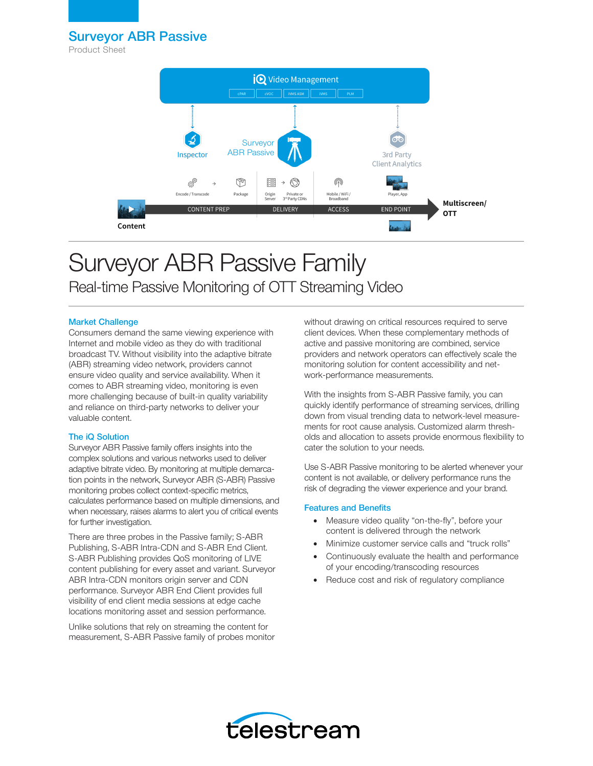Surveyor ABR Passive

Product Sheet



# Surveyor ABR Passive Family Real-time Passive Monitoring of OTT Streaming Video

## Market Challenge

Consumers demand the same viewing experience with Internet and mobile video as they do with traditional broadcast TV. Without visibility into the adaptive bitrate (ABR) streaming video network, providers cannot ensure video quality and service availability. When it comes to ABR streaming video, monitoring is even more challenging because of built-in quality variability and reliance on third-party networks to deliver your valuable content.

## The iQ Solution

Surveyor ABR Passive family offers insights into the complex solutions and various networks used to deliver adaptive bitrate video. By monitoring at multiple demarcation points in the network, Surveyor ABR (S-ABR) Passive monitoring probes collect context-specific metrics, calculates performance based on multiple dimensions, and when necessary, raises alarms to alert you of critical events for further investigation.

There are three probes in the Passive family; S-ABR Publishing, S-ABR Intra-CDN and S-ABR End Client. S-ABR Publishing provides QoS monitoring of LIVE content publishing for every asset and variant. Surveyor ABR Intra-CDN monitors origin server and CDN performance. Surveyor ABR End Client provides full visibility of end client media sessions at edge cache locations monitoring asset and session performance.

Unlike solutions that rely on streaming the content for measurement, S-ABR Passive family of probes monitor without drawing on critical resources required to serve client devices. When these complementary methods of active and passive monitoring are combined, service providers and network operators can effectively scale the monitoring solution for content accessibility and network-performance measurements.

With the insights from S-ABR Passive family, you can quickly identify performance of streaming services, drilling down from visual trending data to network-level measurements for root cause analysis. Customized alarm thresholds and allocation to assets provide enormous flexibility to cater the solution to your needs.

Use S-ABR Passive monitoring to be alerted whenever your content is not available, or delivery performance runs the risk of degrading the viewer experience and your brand.

## Features and Benefits

- Measure video quality "on-the-fly", before your content is delivered through the network
- Minimize customer service calls and "truck rolls"
- Continuously evaluate the health and performance of your encoding/transcoding resources
- Reduce cost and risk of regulatory compliance